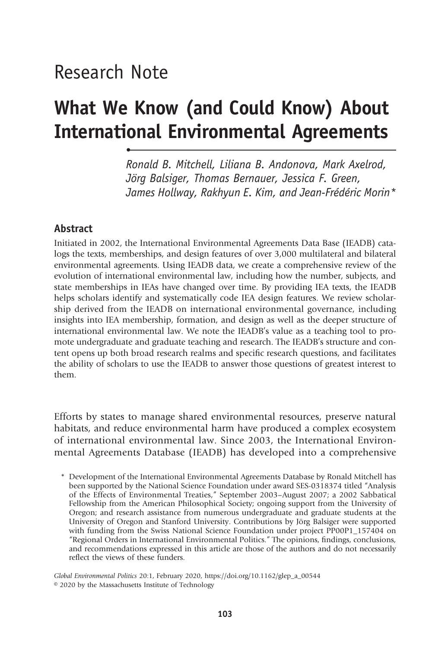# Research Note

•

# What We Know (and Could Know) About International Environmental Agreements

Ronald B. Mitchell, Liliana B. Andonova, Mark Axelrod, Jörg Balsiger, Thomas Bernauer, Jessica F. Green, James Hollway, Rakhyun E. Kim, and Jean-Frédéric Morin\*

### Abstract

Initiated in 2002, the International Environmental Agreements Data Base (IEADB) catalogs the texts, memberships, and design features of over 3,000 multilateral and bilateral environmental agreements. Using IEADB data, we create a comprehensive review of the evolution of international environmental law, including how the number, subjects, and state memberships in IEAs have changed over time. By providing IEA texts, the IEADB helps scholars identify and systematically code IEA design features. We review scholarship derived from the IEADB on international environmental governance, including insights into IEA membership, formation, and design as well as the deeper structure of international environmental law. We note the IEADB's value as a teaching tool to promote undergraduate and graduate teaching and research. The IEADB's structure and content opens up both broad research realms and specific research questions, and facilitates the ability of scholars to use the IEADB to answer those questions of greatest interest to them.

Efforts by states to manage shared environmental resources, preserve natural habitats, and reduce environmental harm have produced a complex ecosystem of international environmental law. Since 2003, the International Environmental Agreements Database (IEADB) has developed into a comprehensive

Global Environmental Politics 20:1, February 2020, https://doi.org/10.1162/glep\_a\_00544 © 2020 by the Massachusetts Institute of Technology

<sup>\*</sup> Development of the International Environmental Agreements Database by Ronald Mitchell has been supported by the National Science Foundation under award SES-0318374 titled "Analysis of the Effects of Environmental Treaties," September 2003–August 2007; a 2002 Sabbatical Fellowship from the American Philosophical Society; ongoing support from the University of Oregon; and research assistance from numerous undergraduate and graduate students at the University of Oregon and Stanford University. Contributions by Jörg Balsiger were supported with funding from the Swiss National Science Foundation under project PP00P1\_157404 on "Regional Orders in International Environmental Politics." The opinions, findings, conclusions, and recommendations expressed in this article are those of the authors and do not necessarily reflect the views of these funders.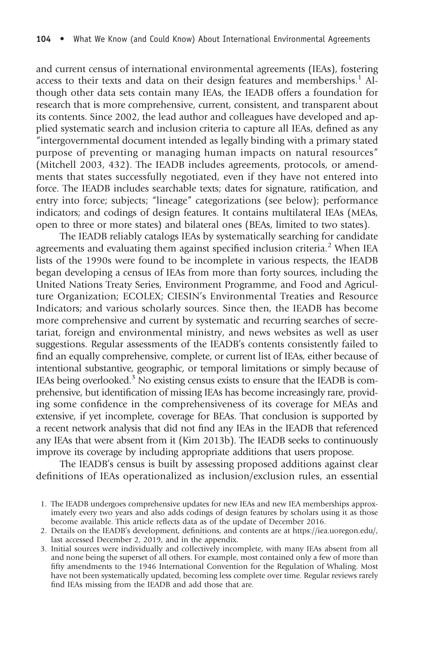and current census of international environmental agreements (IEAs), fostering access to their texts and data on their design features and memberships.<sup>1</sup> Although other data sets contain many IEAs, the IEADB offers a foundation for research that is more comprehensive, current, consistent, and transparent about its contents. Since 2002, the lead author and colleagues have developed and applied systematic search and inclusion criteria to capture all IEAs, defined as any "intergovernmental document intended as legally binding with a primary stated purpose of preventing or managing human impacts on natural resources" (Mitchell 2003, 432). The IEADB includes agreements, protocols, or amendments that states successfully negotiated, even if they have not entered into force. The IEADB includes searchable texts; dates for signature, ratification, and entry into force; subjects; "lineage" categorizations (see below); performance indicators; and codings of design features. It contains multilateral IEAs (MEAs, open to three or more states) and bilateral ones (BEAs, limited to two states).

The IEADB reliably catalogs IEAs by systematically searching for candidate agreements and evaluating them against specified inclusion criteria.<sup>2</sup> When IEA lists of the 1990s were found to be incomplete in various respects, the IEADB began developing a census of IEAs from more than forty sources, including the United Nations Treaty Series, Environment Programme, and Food and Agriculture Organization; ECOLEX; CIESIN's Environmental Treaties and Resource Indicators; and various scholarly sources. Since then, the IEADB has become more comprehensive and current by systematic and recurring searches of secretariat, foreign and environmental ministry, and news websites as well as user suggestions. Regular assessments of the IEADB's contents consistently failed to find an equally comprehensive, complete, or current list of IEAs, either because of intentional substantive, geographic, or temporal limitations or simply because of IEAs being overlooked.<sup>3</sup> No existing census exists to ensure that the IEADB is comprehensive, but identification of missing IEAs has become increasingly rare, providing some confidence in the comprehensiveness of its coverage for MEAs and extensive, if yet incomplete, coverage for BEAs. That conclusion is supported by a recent network analysis that did not find any IEAs in the IEADB that referenced any IEAs that were absent from it (Kim 2013b). The IEADB seeks to continuously improve its coverage by including appropriate additions that users propose.

The IEADB's census is built by assessing proposed additions against clear definitions of IEAs operationalized as inclusion/exclusion rules, an essential

<sup>1.</sup> The IEADB undergoes comprehensive updates for new IEAs and new IEA memberships approximately every two years and also adds codings of design features by scholars using it as those become available. This article reflects data as of the update of December 2016.

<sup>2.</sup> Details on the IEADB's development, definitions, and contents are at https://iea.uoregon.edu/, last accessed December 2, 2019, and in the appendix.

<sup>3.</sup> Initial sources were individually and collectively incomplete, with many IEAs absent from all and none being the superset of all others. For example, most contained only a few of more than fifty amendments to the 1946 International Convention for the Regulation of Whaling. Most have not been systematically updated, becoming less complete over time. Regular reviews rarely find IEAs missing from the IEADB and add those that are.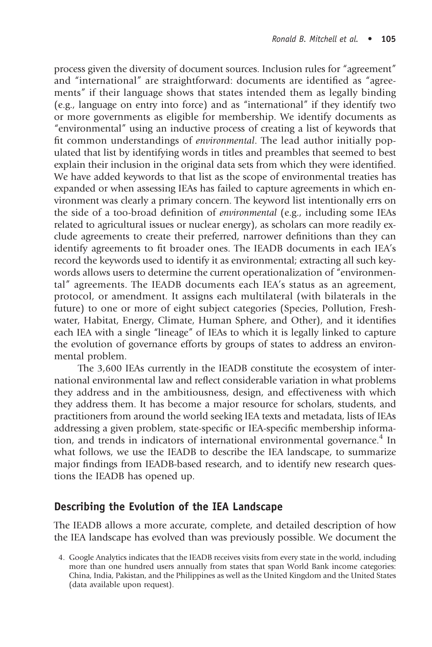process given the diversity of document sources. Inclusion rules for "agreement" and "international" are straightforward: documents are identified as "agreements" if their language shows that states intended them as legally binding (e.g., language on entry into force) and as "international" if they identify two or more governments as eligible for membership. We identify documents as "environmental" using an inductive process of creating a list of keywords that fit common understandings of environmental. The lead author initially populated that list by identifying words in titles and preambles that seemed to best explain their inclusion in the original data sets from which they were identified. We have added keywords to that list as the scope of environmental treaties has expanded or when assessing IEAs has failed to capture agreements in which environment was clearly a primary concern. The keyword list intentionally errs on the side of a too-broad definition of environmental (e.g., including some IEAs related to agricultural issues or nuclear energy), as scholars can more readily exclude agreements to create their preferred, narrower definitions than they can identify agreements to fit broader ones. The IEADB documents in each IEA's record the keywords used to identify it as environmental; extracting all such keywords allows users to determine the current operationalization of "environmental" agreements. The IEADB documents each IEA's status as an agreement, protocol, or amendment. It assigns each multilateral (with bilaterals in the future) to one or more of eight subject categories (Species, Pollution, Freshwater, Habitat, Energy, Climate, Human Sphere, and Other), and it identifies each IEA with a single "lineage" of IEAs to which it is legally linked to capture the evolution of governance efforts by groups of states to address an environmental problem.

The 3,600 IEAs currently in the IEADB constitute the ecosystem of international environmental law and reflect considerable variation in what problems they address and in the ambitiousness, design, and effectiveness with which they address them. It has become a major resource for scholars, students, and practitioners from around the world seeking IEA texts and metadata, lists of IEAs addressing a given problem, state-specific or IEA-specific membership information, and trends in indicators of international environmental governance.<sup>4</sup> In what follows, we use the IEADB to describe the IEA landscape, to summarize major findings from IEADB-based research, and to identify new research questions the IEADB has opened up.

### Describing the Evolution of the IEA Landscape

The IEADB allows a more accurate, complete, and detailed description of how the IEA landscape has evolved than was previously possible. We document the

<sup>4.</sup> Google Analytics indicates that the IEADB receives visits from every state in the world, including more than one hundred users annually from states that span World Bank income categories: China, India, Pakistan, and the Philippines as well as the United Kingdom and the United States (data available upon request).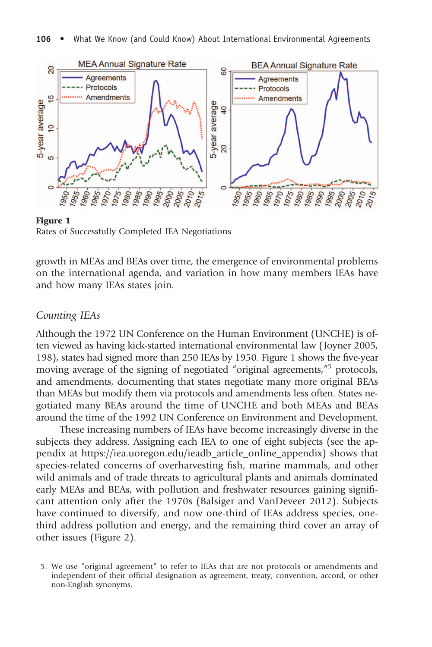

**Rates of Successfully Completed IEA Negotiations** 

growth in MEAs and BEAs over time, the emergence of environmental problems on the international agenda, and variation in how many members IEAs have and how many IEAs states join.

#### Counting IEAs

Although the 1972 UN Conference on the Human Environment (UNCHE) is often viewed as having kick-started international environmental law ( Joyner 2005, 198), states had signed more than 250 IEAs by 1950. Figure 1 shows the five-year moving average of the signing of negotiated "original agreements," <sup>5</sup> protocols, and amendments, documenting that states negotiate many more original BEAs than MEAs but modify them via protocols and amendments less often. States negotiated many BEAs around the time of UNCHE and both MEAs and BEAs around the time of the 1992 UN Conference on Environment and Development.

These increasing numbers of IEAs have become increasingly diverse in the subjects they address. Assigning each IEA to one of eight subjects (see the appendix at https://iea.uoregon.edu/ieadb\_article\_online\_appendix) shows that species-related concerns of overharvesting fish, marine mammals, and other wild animals and of trade threats to agricultural plants and animals dominated early MEAs and BEAs, with pollution and freshwater resources gaining significant attention only after the 1970s (Balsiger and VanDeveer 2012). Subjects have continued to diversify, and now one-third of IEAs address species, onethird address pollution and energy, and the remaining third cover an array of other issues (Figure 2).

<sup>5.</sup> We use "original agreement" to refer to IEAs that are not protocols or amendments and independent of their official designation as agreement, treaty, convention, accord, or other non-English synonyms.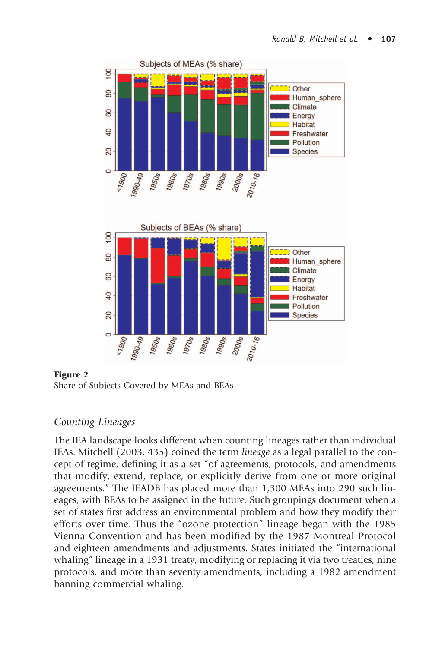

Share of Subjects Covered by MEAs and BEAs

## Counting Lineages

The IEA landscape looks different when counting lineages rather than individual IEAs. Mitchell (2003, 435) coined the term lineage as a legal parallel to the concept of regime, defining it as a set "of agreements, protocols, and amendments that modify, extend, replace, or explicitly derive from one or more original agreements." The IEADB has placed more than 1,300 MEAs into 290 such lineages, with BEAs to be assigned in the future. Such groupings document when a set of states first address an environmental problem and how they modify their efforts over time. Thus the "ozone protection" lineage began with the 1985 Vienna Convention and has been modified by the 1987 Montreal Protocol and eighteen amendments and adjustments. States initiated the "international whaling" lineage in a 1931 treaty, modifying or replacing it via two treaties, nine protocols, and more than seventy amendments, including a 1982 amendment banning commercial whaling.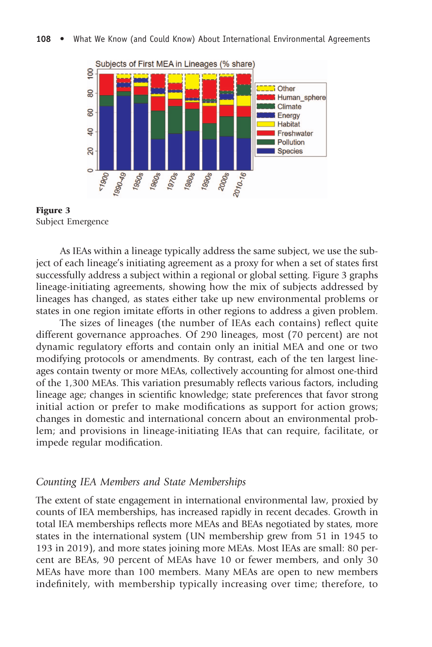

- - **3**<br>3ubject Emergence

As IEAs within a lineage typically address the same subject, we use the subject of each lineage's initiating agreement as a proxy for when a set of states first successfully address a subject within a regional or global setting. Figure 3 graphs lineage-initiating agreements, showing how the mix of subjects addressed by lineages has changed, as states either take up new environmental problems or states in one region imitate efforts in other regions to address a given problem.

The sizes of lineages (the number of IEAs each contains) reflect quite different governance approaches. Of 290 lineages, most (70 percent) are not dynamic regulatory efforts and contain only an initial MEA and one or two modifying protocols or amendments. By contrast, each of the ten largest lineages contain twenty or more MEAs, collectively accounting for almost one-third of the 1,300 MEAs. This variation presumably reflects various factors, including lineage age; changes in scientific knowledge; state preferences that favor strong initial action or prefer to make modifications as support for action grows; changes in domestic and international concern about an environmental problem; and provisions in lineage-initiating IEAs that can require, facilitate, or impede regular modification.

#### Counting IEA Members and State Memberships

The extent of state engagement in international environmental law, proxied by counts of IEA memberships, has increased rapidly in recent decades. Growth in total IEA memberships reflects more MEAs and BEAs negotiated by states, more states in the international system (UN membership grew from 51 in 1945 to 193 in 2019), and more states joining more MEAs. Most IEAs are small: 80 percent are BEAs, 90 percent of MEAs have 10 or fewer members, and only 30 MEAs have more than 100 members. Many MEAs are open to new members indefinitely, with membership typically increasing over time; therefore, to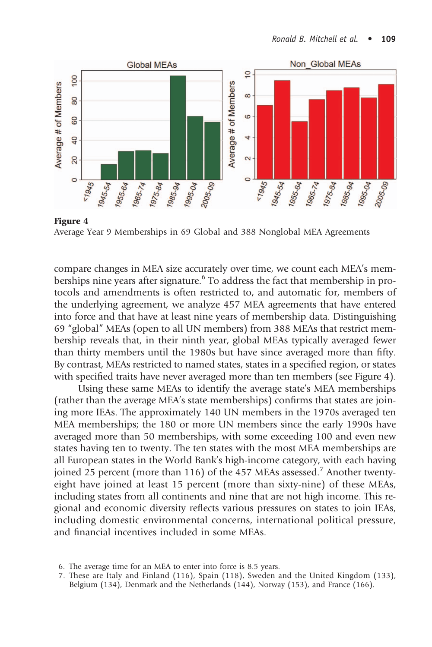

Average Year 9 Memberships in 69 Global and 388 Nonglobal MEA Agreements

compare changes in MEA size accurately over time, we count each MEA's memberships nine years after signature.<sup>6</sup> To address the fact that membership in protocols and amendments is often restricted to, and automatic for, members of the underlying agreement, we analyze 457 MEA agreements that have entered into force and that have at least nine years of membership data. Distinguishing 69 "global" MEAs (open to all UN members) from 388 MEAs that restrict membership reveals that, in their ninth year, global MEAs typically averaged fewer than thirty members until the 1980s but have since averaged more than fifty. By contrast, MEAs restricted to named states, states in a specified region, or states with specified traits have never averaged more than ten members (see Figure 4).

Using these same MEAs to identify the average state's MEA memberships (rather than the average MEA's state memberships) confirms that states are joining more IEAs. The approximately 140 UN members in the 1970s averaged ten MEA memberships; the 180 or more UN members since the early 1990s have averaged more than 50 memberships, with some exceeding 100 and even new states having ten to twenty. The ten states with the most MEA memberships are all European states in the World Bank's high-income category, with each having joined 25 percent (more than 116) of the 457 MEAs assessed.<sup>7</sup> Another twentyeight have joined at least 15 percent (more than sixty-nine) of these MEAs, including states from all continents and nine that are not high income. This regional and economic diversity reflects various pressures on states to join IEAs, including domestic environmental concerns, international political pressure, and financial incentives included in some MEAs.

<sup>6.</sup> The average time for an MEA to enter into force is 8.5 years.

<sup>7.</sup> These are Italy and Finland (116), Spain (118), Sweden and the United Kingdom (133), Belgium (134), Denmark and the Netherlands (144), Norway (153), and France (166).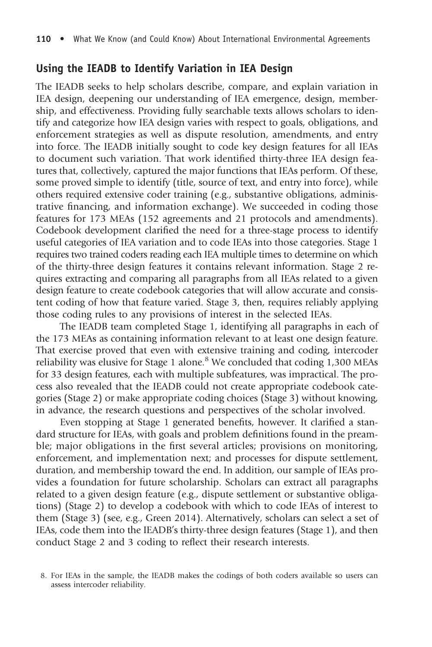### Using the IEADB to Identify Variation in IEA Design

The IEADB seeks to help scholars describe, compare, and explain variation in IEA design, deepening our understanding of IEA emergence, design, membership, and effectiveness. Providing fully searchable texts allows scholars to identify and categorize how IEA design varies with respect to goals, obligations, and enforcement strategies as well as dispute resolution, amendments, and entry into force. The IEADB initially sought to code key design features for all IEAs to document such variation. That work identified thirty-three IEA design features that, collectively, captured the major functions that IEAs perform. Of these, some proved simple to identify (title, source of text, and entry into force), while others required extensive coder training (e.g., substantive obligations, administrative financing, and information exchange). We succeeded in coding those features for 173 MEAs (152 agreements and 21 protocols and amendments). Codebook development clarified the need for a three-stage process to identify useful categories of IEA variation and to code IEAs into those categories. Stage 1 requires two trained coders reading each IEA multiple times to determine on which of the thirty-three design features it contains relevant information. Stage 2 requires extracting and comparing all paragraphs from all IEAs related to a given design feature to create codebook categories that will allow accurate and consistent coding of how that feature varied. Stage 3, then, requires reliably applying those coding rules to any provisions of interest in the selected IEAs.

The IEADB team completed Stage 1, identifying all paragraphs in each of the 173 MEAs as containing information relevant to at least one design feature. That exercise proved that even with extensive training and coding, intercoder reliability was elusive for Stage 1 alone.<sup>8</sup> We concluded that coding 1,300 MEAs for 33 design features, each with multiple subfeatures, was impractical. The process also revealed that the IEADB could not create appropriate codebook categories (Stage 2) or make appropriate coding choices (Stage 3) without knowing, in advance, the research questions and perspectives of the scholar involved.

Even stopping at Stage 1 generated benefits, however. It clarified a standard structure for IEAs, with goals and problem definitions found in the preamble; major obligations in the first several articles; provisions on monitoring, enforcement, and implementation next; and processes for dispute settlement, duration, and membership toward the end. In addition, our sample of IEAs provides a foundation for future scholarship. Scholars can extract all paragraphs related to a given design feature (e.g., dispute settlement or substantive obligations) (Stage 2) to develop a codebook with which to code IEAs of interest to them (Stage 3) (see, e.g., Green 2014). Alternatively, scholars can select a set of IEAs, code them into the IEADB's thirty-three design features (Stage 1), and then conduct Stage 2 and 3 coding to reflect their research interests.

<sup>8.</sup> For IEAs in the sample, the IEADB makes the codings of both coders available so users can assess intercoder reliability.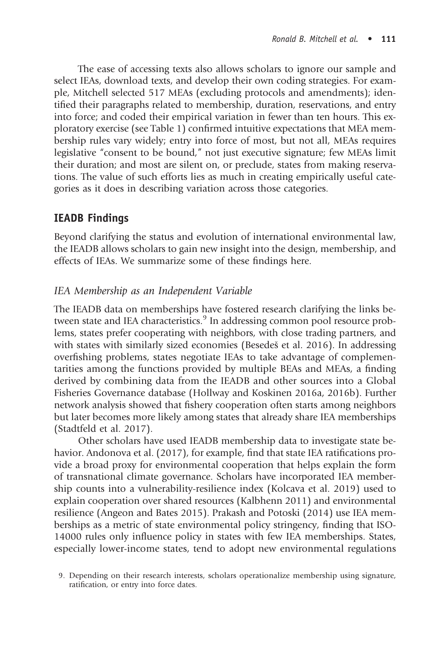The ease of accessing texts also allows scholars to ignore our sample and select IEAs, download texts, and develop their own coding strategies. For example, Mitchell selected 517 MEAs (excluding protocols and amendments); identified their paragraphs related to membership, duration, reservations, and entry into force; and coded their empirical variation in fewer than ten hours. This exploratory exercise (see Table 1) confirmed intuitive expectations that MEA membership rules vary widely; entry into force of most, but not all, MEAs requires legislative "consent to be bound," not just executive signature; few MEAs limit their duration; and most are silent on, or preclude, states from making reservations. The value of such efforts lies as much in creating empirically useful categories as it does in describing variation across those categories.

# IEADB Findings

Beyond clarifying the status and evolution of international environmental law, the IEADB allows scholars to gain new insight into the design, membership, and effects of IEAs. We summarize some of these findings here.

## IEA Membership as an Independent Variable

The IEADB data on memberships have fostered research clarifying the links between state and IEA characteristics.<sup>9</sup> In addressing common pool resource problems, states prefer cooperating with neighbors, with close trading partners, and with states with similarly sized economies (Besedeš et al. 2016). In addressing overfishing problems, states negotiate IEAs to take advantage of complementarities among the functions provided by multiple BEAs and MEAs, a finding derived by combining data from the IEADB and other sources into a Global Fisheries Governance database (Hollway and Koskinen 2016a, 2016b). Further network analysis showed that fishery cooperation often starts among neighbors but later becomes more likely among states that already share IEA memberships (Stadtfeld et al. 2017).

Other scholars have used IEADB membership data to investigate state behavior. Andonova et al. (2017), for example, find that state IEA ratifications provide a broad proxy for environmental cooperation that helps explain the form of transnational climate governance. Scholars have incorporated IEA membership counts into a vulnerability-resilience index (Kolcava et al. 2019) used to explain cooperation over shared resources (Kalbhenn 2011) and environmental resilience (Angeon and Bates 2015). Prakash and Potoski (2014) use IEA memberships as a metric of state environmental policy stringency, finding that ISO-14000 rules only influence policy in states with few IEA memberships. States, especially lower-income states, tend to adopt new environmental regulations

<sup>9.</sup> Depending on their research interests, scholars operationalize membership using signature, ratification, or entry into force dates.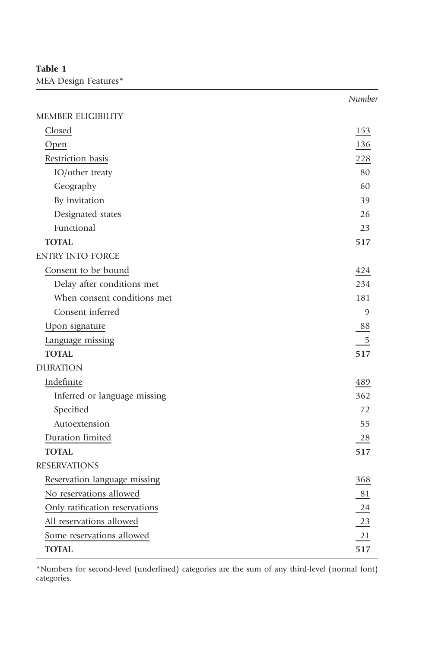# MEA Design Features\*

|                                | Number         |
|--------------------------------|----------------|
| <b>MEMBER ELIGIBILITY</b>      |                |
| Closed                         | 153            |
| Open                           | 136            |
| Restriction basis              | 228            |
| IO/other treaty                | 80             |
| Geography                      | 60             |
| By invitation                  | 39             |
| Designated states              | 26             |
| Functional                     | 23             |
| <b>TOTAL</b>                   | 517            |
| <b>ENTRY INTO FORCE</b>        |                |
| Consent to be bound            | 424            |
| Delay after conditions met     | 234            |
| When consent conditions met    | 181            |
| Consent inferred               | $\overline{9}$ |
| Upon signature                 | 88             |
| Language missing               | $\mathbf 5$    |
| <b>TOTAL</b>                   | 517            |
| <b>DURATION</b>                |                |
| Indefinite                     | 489            |
| Inferred or language missing   | 362            |
| Specified                      | 72             |
| Autoextension                  | 55             |
| Duration limited               | 28             |
| <b>TOTAL</b>                   | 517            |
| <b>RESERVATIONS</b>            |                |
| Reservation language missing   | 368            |
| No reservations allowed        | 81             |
| Only ratification reservations | 24             |
| All reservations allowed       | 23             |
| Some reservations allowed      | 21             |
| <b>TOTAL</b>                   | 517            |

\*Numbers for second-level (underlined) categories are the sum of any third-level (normal font) categories.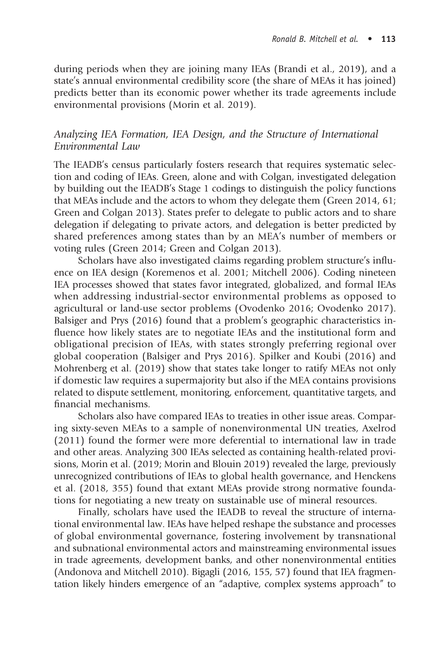during periods when they are joining many IEAs (Brandi et al., 2019), and a state's annual environmental credibility score (the share of MEAs it has joined) predicts better than its economic power whether its trade agreements include environmental provisions (Morin et al. 2019).

### Analyzing IEA Formation, IEA Design, and the Structure of International Environmental Law

The IEADB's census particularly fosters research that requires systematic selection and coding of IEAs. Green, alone and with Colgan, investigated delegation by building out the IEADB's Stage 1 codings to distinguish the policy functions that MEAs include and the actors to whom they delegate them (Green 2014, 61; Green and Colgan 2013). States prefer to delegate to public actors and to share delegation if delegating to private actors, and delegation is better predicted by shared preferences among states than by an MEA's number of members or voting rules (Green 2014; Green and Colgan 2013).

Scholars have also investigated claims regarding problem structure's influence on IEA design (Koremenos et al. 2001; Mitchell 2006). Coding nineteen IEA processes showed that states favor integrated, globalized, and formal IEAs when addressing industrial-sector environmental problems as opposed to agricultural or land-use sector problems (Ovodenko 2016; Ovodenko 2017). Balsiger and Prys (2016) found that a problem's geographic characteristics influence how likely states are to negotiate IEAs and the institutional form and obligational precision of IEAs, with states strongly preferring regional over global cooperation (Balsiger and Prys 2016). Spilker and Koubi (2016) and Mohrenberg et al. (2019) show that states take longer to ratify MEAs not only if domestic law requires a supermajority but also if the MEA contains provisions related to dispute settlement, monitoring, enforcement, quantitative targets, and financial mechanisms.

Scholars also have compared IEAs to treaties in other issue areas. Comparing sixty-seven MEAs to a sample of nonenvironmental UN treaties, Axelrod (2011) found the former were more deferential to international law in trade and other areas. Analyzing 300 IEAs selected as containing health-related provisions, Morin et al. (2019; Morin and Blouin 2019) revealed the large, previously unrecognized contributions of IEAs to global health governance, and Henckens et al. (2018, 355) found that extant MEAs provide strong normative foundations for negotiating a new treaty on sustainable use of mineral resources.

Finally, scholars have used the IEADB to reveal the structure of international environmental law. IEAs have helped reshape the substance and processes of global environmental governance, fostering involvement by transnational and subnational environmental actors and mainstreaming environmental issues in trade agreements, development banks, and other nonenvironmental entities (Andonova and Mitchell 2010). Bigagli (2016, 155, 57) found that IEA fragmentation likely hinders emergence of an "adaptive, complex systems approach" to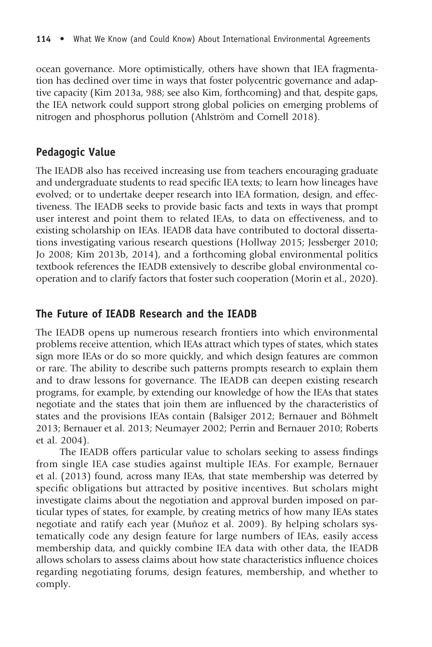ocean governance. More optimistically, others have shown that IEA fragmentation has declined over time in ways that foster polycentric governance and adaptive capacity (Kim 2013a, 988; see also Kim, forthcoming) and that, despite gaps, the IEA network could support strong global policies on emerging problems of nitrogen and phosphorus pollution (Ahlström and Cornell 2018).

## Pedagogic Value

The IEADB also has received increasing use from teachers encouraging graduate and undergraduate students to read specific IEA texts; to learn how lineages have evolved; or to undertake deeper research into IEA formation, design, and effectiveness. The IEADB seeks to provide basic facts and texts in ways that prompt user interest and point them to related IEAs, to data on effectiveness, and to existing scholarship on IEAs. IEADB data have contributed to doctoral dissertations investigating various research questions (Hollway 2015; Jessberger 2010; Jo 2008; Kim 2013b, 2014), and a forthcoming global environmental politics textbook references the IEADB extensively to describe global environmental cooperation and to clarify factors that foster such cooperation (Morin et al., 2020).

## The Future of IEADB Research and the IEADB

The IEADB opens up numerous research frontiers into which environmental problems receive attention, which IEAs attract which types of states, which states sign more IEAs or do so more quickly, and which design features are common or rare. The ability to describe such patterns prompts research to explain them and to draw lessons for governance. The IEADB can deepen existing research programs, for example, by extending our knowledge of how the IEAs that states negotiate and the states that join them are influenced by the characteristics of states and the provisions IEAs contain (Balsiger 2012; Bernauer and Böhmelt 2013; Bernauer et al. 2013; Neumayer 2002; Perrin and Bernauer 2010; Roberts et al. 2004).

The IEADB offers particular value to scholars seeking to assess findings from single IEA case studies against multiple IEAs. For example, Bernauer et al. (2013) found, across many IEAs, that state membership was deterred by specific obligations but attracted by positive incentives. But scholars might investigate claims about the negotiation and approval burden imposed on particular types of states, for example, by creating metrics of how many IEAs states negotiate and ratify each year (Muñoz et al. 2009). By helping scholars systematically code any design feature for large numbers of IEAs, easily access membership data, and quickly combine IEA data with other data, the IEADB allows scholars to assess claims about how state characteristics influence choices regarding negotiating forums, design features, membership, and whether to comply.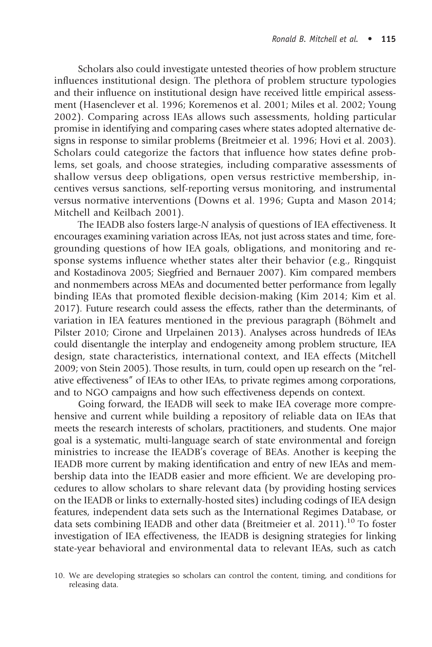Scholars also could investigate untested theories of how problem structure influences institutional design. The plethora of problem structure typologies and their influence on institutional design have received little empirical assessment (Hasenclever et al. 1996; Koremenos et al. 2001; Miles et al. 2002; Young 2002). Comparing across IEAs allows such assessments, holding particular promise in identifying and comparing cases where states adopted alternative designs in response to similar problems (Breitmeier et al. 1996; Hovi et al. 2003). Scholars could categorize the factors that influence how states define problems, set goals, and choose strategies, including comparative assessments of shallow versus deep obligations, open versus restrictive membership, incentives versus sanctions, self-reporting versus monitoring, and instrumental versus normative interventions (Downs et al. 1996; Gupta and Mason 2014; Mitchell and Keilbach 2001).

The IEADB also fosters large-N analysis of questions of IEA effectiveness. It encourages examining variation across IEAs, not just across states and time, foregrounding questions of how IEA goals, obligations, and monitoring and response systems influence whether states alter their behavior (e.g., Ringquist and Kostadinova 2005; Siegfried and Bernauer 2007). Kim compared members and nonmembers across MEAs and documented better performance from legally binding IEAs that promoted flexible decision-making (Kim 2014; Kim et al. 2017). Future research could assess the effects, rather than the determinants, of variation in IEA features mentioned in the previous paragraph (Böhmelt and Pilster 2010; Cirone and Urpelainen 2013). Analyses across hundreds of IEAs could disentangle the interplay and endogeneity among problem structure, IEA design, state characteristics, international context, and IEA effects (Mitchell 2009; von Stein 2005). Those results, in turn, could open up research on the "relative effectiveness" of IEAs to other IEAs, to private regimes among corporations, and to NGO campaigns and how such effectiveness depends on context.

Going forward, the IEADB will seek to make IEA coverage more comprehensive and current while building a repository of reliable data on IEAs that meets the research interests of scholars, practitioners, and students. One major goal is a systematic, multi-language search of state environmental and foreign ministries to increase the IEADB's coverage of BEAs. Another is keeping the IEADB more current by making identification and entry of new IEAs and membership data into the IEADB easier and more efficient. We are developing procedures to allow scholars to share relevant data (by providing hosting services on the IEADB or links to externally-hosted sites) including codings of IEA design features, independent data sets such as the International Regimes Database, or data sets combining IEADB and other data (Breitmeier et al. 2011).<sup>10</sup> To foster investigation of IEA effectiveness, the IEADB is designing strategies for linking state-year behavioral and environmental data to relevant IEAs, such as catch

<sup>10.</sup> We are developing strategies so scholars can control the content, timing, and conditions for releasing data.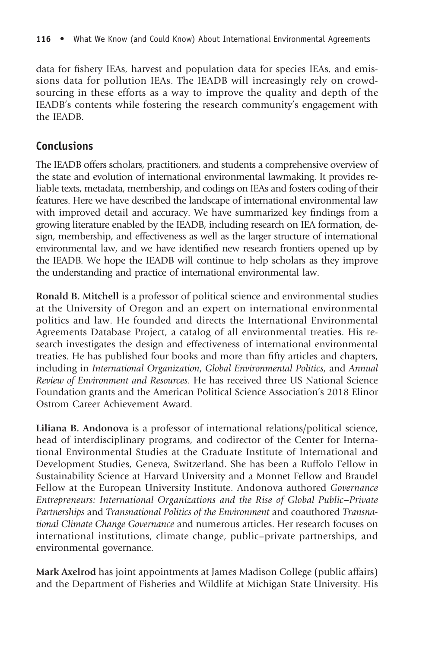data for fishery IEAs, harvest and population data for species IEAs, and emissions data for pollution IEAs. The IEADB will increasingly rely on crowdsourcing in these efforts as a way to improve the quality and depth of the IEADB's contents while fostering the research community's engagement with the IEADB.

## Conclusions

The IEADB offers scholars, practitioners, and students a comprehensive overview of the state and evolution of international environmental lawmaking. It provides reliable texts, metadata, membership, and codings on IEAs and fosters coding of their features. Here we have described the landscape of international environmental law with improved detail and accuracy. We have summarized key findings from a growing literature enabled by the IEADB, including research on IEA formation, design, membership, and effectiveness as well as the larger structure of international environmental law, and we have identified new research frontiers opened up by the IEADB. We hope the IEADB will continue to help scholars as they improve the understanding and practice of international environmental law.

Ronald B. Mitchell is a professor of political science and environmental studies at the University of Oregon and an expert on international environmental politics and law. He founded and directs the International Environmental Agreements Database Project, a catalog of all environmental treaties. His research investigates the design and effectiveness of international environmental treaties. He has published four books and more than fifty articles and chapters, including in International Organization, Global Environmental Politics, and Annual Review of Environment and Resources. He has received three US National Science Foundation grants and the American Political Science Association's 2018 Elinor Ostrom Career Achievement Award.

Liliana B. Andonova is a professor of international relations/political science, head of interdisciplinary programs, and codirector of the Center for International Environmental Studies at the Graduate Institute of International and Development Studies, Geneva, Switzerland. She has been a Ruffolo Fellow in Sustainability Science at Harvard University and a Monnet Fellow and Braudel Fellow at the European University Institute. Andonova authored Governance Entrepreneurs: International Organizations and the Rise of Global Public–Private Partnerships and Transnational Politics of the Environment and coauthored Transnational Climate Change Governance and numerous articles. Her research focuses on international institutions, climate change, public–private partnerships, and environmental governance.

Mark Axelrod has joint appointments at James Madison College (public affairs) and the Department of Fisheries and Wildlife at Michigan State University. His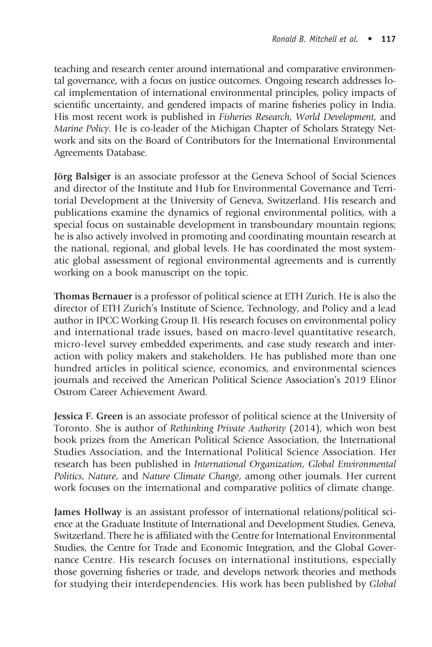teaching and research center around international and comparative environmental governance, with a focus on justice outcomes. Ongoing research addresses local implementation of international environmental principles, policy impacts of scientific uncertainty, and gendered impacts of marine fisheries policy in India. His most recent work is published in Fisheries Research, World Development, and Marine Policy. He is co-leader of the Michigan Chapter of Scholars Strategy Network and sits on the Board of Contributors for the International Environmental Agreements Database.

Jörg Balsiger is an associate professor at the Geneva School of Social Sciences and director of the Institute and Hub for Environmental Governance and Territorial Development at the University of Geneva, Switzerland. His research and publications examine the dynamics of regional environmental politics, with a special focus on sustainable development in transboundary mountain regions; he is also actively involved in promoting and coordinating mountain research at the national, regional, and global levels. He has coordinated the most systematic global assessment of regional environmental agreements and is currently working on a book manuscript on the topic.

Thomas Bernauer is a professor of political science at ETH Zurich. He is also the director of ETH Zurich's Institute of Science, Technology, and Policy and a lead author in IPCC Working Group II. His research focuses on environmental policy and international trade issues, based on macro-level quantitative research, micro-level survey embedded experiments, and case study research and interaction with policy makers and stakeholders. He has published more than one hundred articles in political science, economics, and environmental sciences journals and received the American Political Science Association's 2019 Elinor Ostrom Career Achievement Award.

Jessica F. Green is an associate professor of political science at the University of Toronto. She is author of Rethinking Private Authority (2014), which won best book prizes from the American Political Science Association, the International Studies Association, and the International Political Science Association. Her research has been published in International Organization, Global Environmental Politics, Nature, and Nature Climate Change, among other journals. Her current work focuses on the international and comparative politics of climate change.

James Hollway is an assistant professor of international relations/political science at the Graduate Institute of International and Development Studies, Geneva, Switzerland. There he is affiliated with the Centre for International Environmental Studies, the Centre for Trade and Economic Integration, and the Global Governance Centre. His research focuses on international institutions, especially those governing fisheries or trade, and develops network theories and methods for studying their interdependencies. His work has been published by Global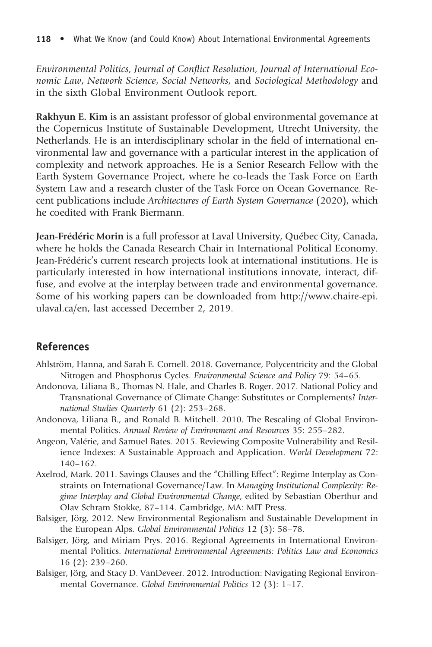Environmental Politics, Journal of Conflict Resolution, Journal of International Economic Law, Network Science, Social Networks, and Sociological Methodology and in the sixth Global Environment Outlook report.

Rakhyun E. Kim is an assistant professor of global environmental governance at the Copernicus Institute of Sustainable Development, Utrecht University, the Netherlands. He is an interdisciplinary scholar in the field of international environmental law and governance with a particular interest in the application of complexity and network approaches. He is a Senior Research Fellow with the Earth System Governance Project, where he co-leads the Task Force on Earth System Law and a research cluster of the Task Force on Ocean Governance. Recent publications include Architectures of Earth System Governance (2020), which he coedited with Frank Biermann.

Jean-Frédéric Morin is a full professor at Laval University, Québec City, Canada, where he holds the Canada Research Chair in International Political Economy. Jean-Frédéric's current research projects look at international institutions. He is particularly interested in how international institutions innovate, interact, diffuse, and evolve at the interplay between trade and environmental governance. Some of his working papers can be downloaded from http://www.chaire-epi. ulaval.ca/en, last accessed December 2, 2019.

## References

- Ahlström, Hanna, and Sarah E. Cornell. 2018. Governance, Polycentricity and the Global Nitrogen and Phosphorus Cycles. Environmental Science and Policy 79: 54–65.
- Andonova, Liliana B., Thomas N. Hale, and Charles B. Roger. 2017. National Policy and Transnational Governance of Climate Change: Substitutes or Complements? International Studies Quarterly 61 (2): 253–268.
- Andonova, Liliana B., and Ronald B. Mitchell. 2010. The Rescaling of Global Environmental Politics. Annual Review of Environment and Resources 35: 255–282.
- Angeon, Valérie, and Samuel Bates. 2015. Reviewing Composite Vulnerability and Resilience Indexes: A Sustainable Approach and Application. World Development 72: 140–162.
- Axelrod, Mark. 2011. Savings Clauses and the "Chilling Effect": Regime Interplay as Constraints on International Governance/Law. In Managing Institutional Complexity: Regime Interplay and Global Environmental Change, edited by Sebastian Oberthur and Olav Schram Stokke, 87–114. Cambridge, MA: MIT Press.
- Balsiger, Jörg. 2012. New Environmental Regionalism and Sustainable Development in the European Alps. Global Environmental Politics 12 (3): 58–78.
- Balsiger, Jörg, and Miriam Prys. 2016. Regional Agreements in International Environmental Politics. International Environmental Agreements: Politics Law and Economics 16 (2): 239–260.
- Balsiger, Jörg, and Stacy D. VanDeveer. 2012. Introduction: Navigating Regional Environmental Governance. Global Environmental Politics 12 (3): 1–17.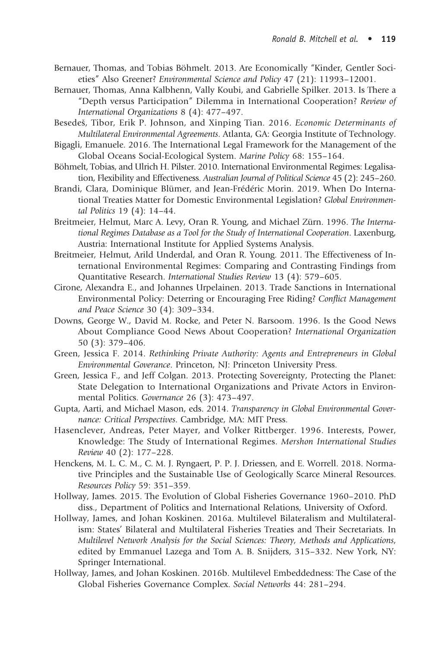- Bernauer, Thomas, and Tobias Böhmelt. 2013. Are Economically "Kinder, Gentler Societies" Also Greener? Environmental Science and Policy 47 (21): 11993–12001.
- Bernauer, Thomas, Anna Kalbhenn, Vally Koubi, and Gabrielle Spilker. 2013. Is There a "Depth versus Participation" Dilemma in International Cooperation? Review of International Organizations 8 (4): 477–497.

Besedeš, Tibor, Erik P. Johnson, and Xinping Tian. 2016. Economic Determinants of Multilateral Environmental Agreements. Atlanta, GA: Georgia Institute of Technology.

- Bigagli, Emanuele. 2016. The International Legal Framework for the Management of the Global Oceans Social-Ecological System. Marine Policy 68: 155–164.
- Böhmelt, Tobias, and Ulrich H. Pilster. 2010. International Environmental Regimes: Legalisation, Flexibility and Effectiveness. Australian Journal of Political Science 45 (2): 245–260.
- Brandi, Clara, Dominique Blümer, and Jean-Frédéric Morin. 2019. When Do International Treaties Matter for Domestic Environmental Legislation? Global Environmental Politics 19 (4): 14–44.
- Breitmeier, Helmut, Marc A. Levy, Oran R. Young, and Michael Zürn. 1996. The International Regimes Database as a Tool for the Study of International Cooperation. Laxenburg, Austria: International Institute for Applied Systems Analysis.
- Breitmeier, Helmut, Arild Underdal, and Oran R. Young. 2011. The Effectiveness of International Environmental Regimes: Comparing and Contrasting Findings from Quantitative Research. International Studies Review 13 (4): 579–605.
- Cirone, Alexandra E., and Johannes Urpelainen. 2013. Trade Sanctions in International Environmental Policy: Deterring or Encouraging Free Riding? Conflict Management and Peace Science 30 (4): 309–334.
- Downs, George W., David M. Rocke, and Peter N. Barsoom. 1996. Is the Good News About Compliance Good News About Cooperation? International Organization 50 (3): 379–406.
- Green, Jessica F. 2014. Rethinking Private Authority: Agents and Entrepreneurs in Global Environmental Goverance. Princeton, NJ: Princeton University Press.
- Green, Jessica F., and Jeff Colgan. 2013. Protecting Sovereignty, Protecting the Planet: State Delegation to International Organizations and Private Actors in Environmental Politics. Governance 26 (3): 473–497.
- Gupta, Aarti, and Michael Mason, eds. 2014. Transparency in Global Environmental Governance: Critical Perspectives. Cambridge, MA: MIT Press.
- Hasenclever, Andreas, Peter Mayer, and Volker Rittberger. 1996. Interests, Power, Knowledge: The Study of International Regimes. Mershon International Studies Review 40 (2): 177–228.
- Henckens, M. L. C. M., C. M. J. Ryngaert, P. P. J. Driessen, and E. Worrell. 2018. Normative Principles and the Sustainable Use of Geologically Scarce Mineral Resources. Resources Policy 59: 351–359.
- Hollway, James. 2015. The Evolution of Global Fisheries Governance 1960–2010. PhD diss., Department of Politics and International Relations, University of Oxford.
- Hollway, James, and Johan Koskinen. 2016a. Multilevel Bilateralism and Multilateralism: States' Bilateral and Multilateral Fisheries Treaties and Their Secretariats. In Multilevel Network Analysis for the Social Sciences: Theory, Methods and Applications, edited by Emmanuel Lazega and Tom A. B. Snijders, 315–332. New York, NY: Springer International.
- Hollway, James, and Johan Koskinen. 2016b. Multilevel Embeddedness: The Case of the Global Fisheries Governance Complex. Social Networks 44: 281–294.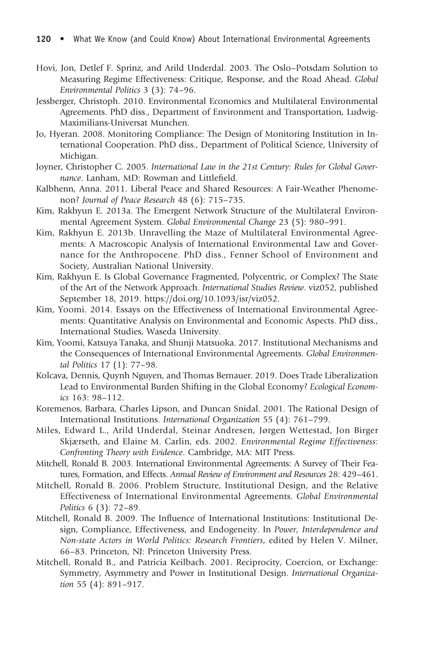- Hovi, Jon, Detlef F. Sprinz, and Arild Underdal. 2003. The Oslo–Potsdam Solution to Measuring Regime Effectiveness: Critique, Response, and the Road Ahead. Global Environmental Politics 3 (3): 74–96.
- Jessberger, Christoph. 2010. Environmental Economics and Multilateral Environmental Agreements. PhD diss., Department of Environment and Transportation, Ludwig-Maximilians-Universat Munchen.
- Jo, Hyeran. 2008. Monitoring Compliance: The Design of Monitoring Institution in International Cooperation. PhD diss., Department of Political Science, University of Michigan.
- Joyner, Christopher C. 2005. International Law in the 21st Century: Rules for Global Governance. Lanham, MD: Rowman and Littlefield.
- Kalbhenn, Anna. 2011. Liberal Peace and Shared Resources: A Fair-Weather Phenomenon? Journal of Peace Research 48 (6): 715–735.
- Kim, Rakhyun E. 2013a. The Emergent Network Structure of the Multilateral Environmental Agreement System. Global Environmental Change 23 (5): 980–991.
- Kim, Rakhyun E. 2013b. Unravelling the Maze of Multilateral Environmental Agreements: A Macroscopic Analysis of International Environmental Law and Governance for the Anthropocene. PhD diss., Fenner School of Environment and Society, Australian National University.
- Kim, Rakhyun E. Is Global Governance Fragmented, Polycentric, or Complex? The State of the Art of the Network Approach. International Studies Review. viz052, published September 18, 2019. https://doi.org/10.1093/isr/viz052.
- Kim, Yoomi. 2014. Essays on the Effectiveness of International Environmental Agreements: Quantitative Analysis on Environmental and Economic Aspects. PhD diss., International Studies, Waseda University.
- Kim, Yoomi, Katsuya Tanaka, and Shunji Matsuoka. 2017. Institutional Mechanisms and the Consequences of International Environmental Agreements. Global Environmental Politics 17 (1): 77–98.
- Kolcava, Dennis, Quynh Nguyen, and Thomas Bernauer. 2019. Does Trade Liberalization Lead to Environmental Burden Shifting in the Global Economy? Ecological Economics 163: 98–112.
- Koremenos, Barbara, Charles Lipson, and Duncan Snidal. 2001. The Rational Design of International Institutions. International Organization 55 (4): 761–799.
- Miles, Edward L., Arild Underdal, Steinar Andresen, Jørgen Wettestad, Jon Birger Skjærseth, and Elaine M. Carlin, eds. 2002. Environmental Regime Effectiveness: Confronting Theory with Evidence. Cambridge, MA: MIT Press.
- Mitchell, Ronald B. 2003. International Environmental Agreements: A Survey of Their Features, Formation, and Effects. Annual Review of Environment and Resources 28: 429–461.
- Mitchell, Ronald B. 2006. Problem Structure, Institutional Design, and the Relative Effectiveness of International Environmental Agreements. Global Environmental Politics 6 (3): 72–89.
- Mitchell, Ronald B. 2009. The Influence of International Institutions: Institutional Design, Compliance, Effectiveness, and Endogeneity. In Power, Interdependence and Non-state Actors in World Politics: Research Frontiers, edited by Helen V. Milner, 66–83. Princeton, NJ: Princeton University Press.
- Mitchell, Ronald B., and Patricia Keilbach. 2001. Reciprocity, Coercion, or Exchange: Symmetry, Asymmetry and Power in Institutional Design. International Organization 55 (4): 891–917.